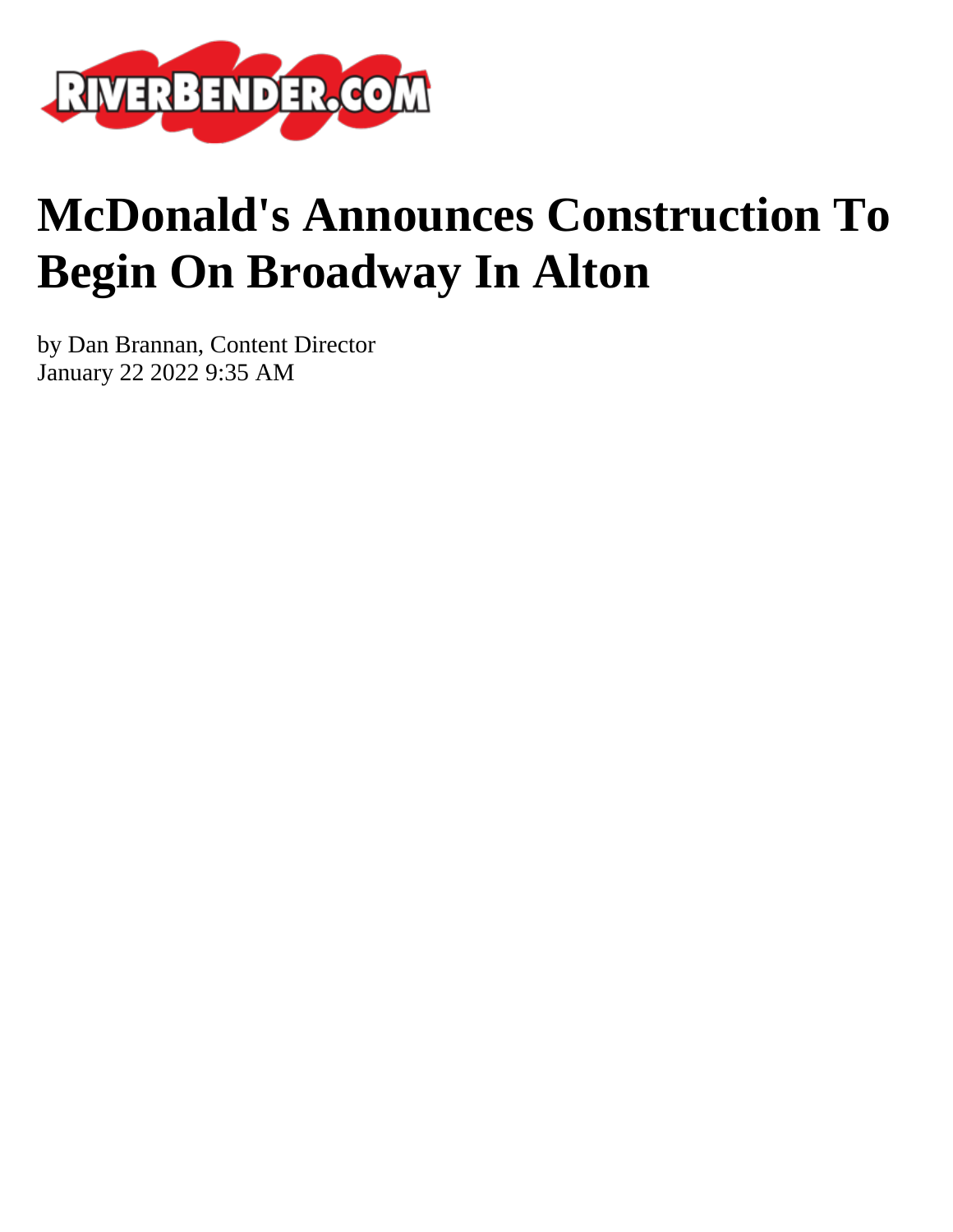

## **McDonald's Announces Construction To Begin On Broadway In Alton**

by Dan Brannan, Content Director January 22 2022 9:35 AM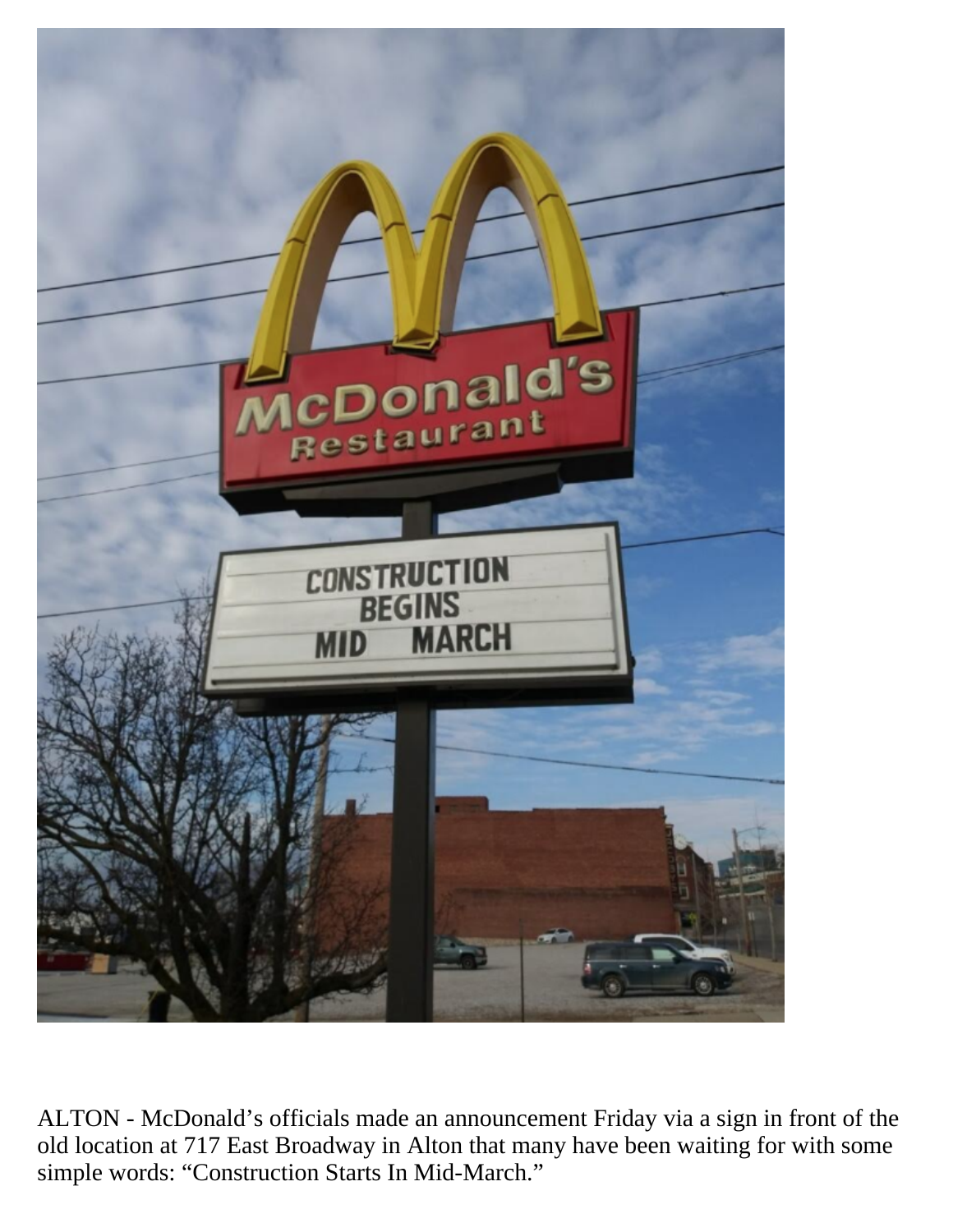

ALTON - McDonald's officials made an announcement Friday via a sign in front of the old location at 717 East Broadway in Alton that many have been waiting for with some simple words: "Construction Starts In Mid-March."